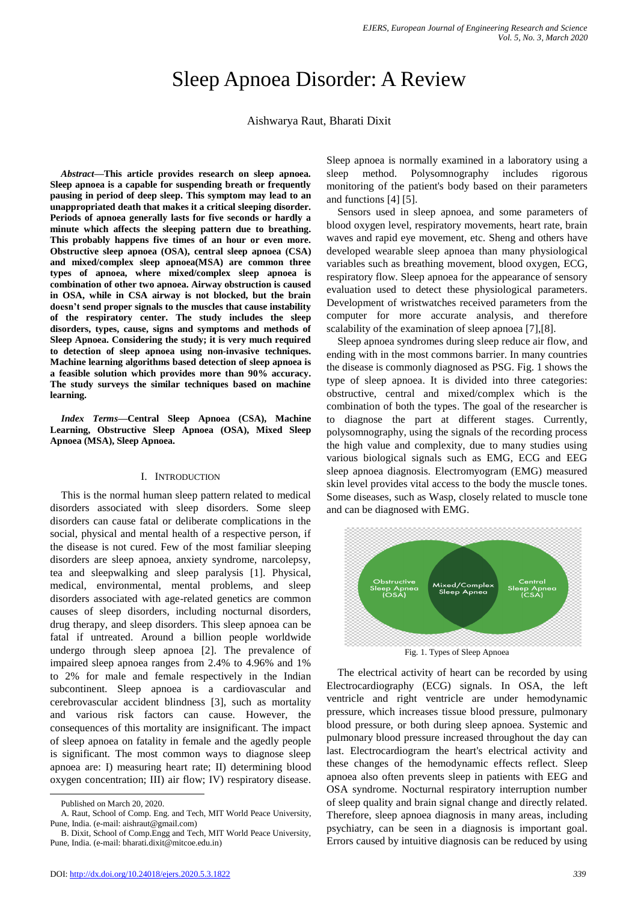# Sleep Apnoea Disorder: A Review

Aishwarya Raut, Bharati Dixit

*Abstract***—This article provides research on sleep apnoea. Sleep apnoea is a capable for suspending breath or frequently pausing in period of deep sleep. This symptom may lead to an unappropriated death that makes it a critical sleeping disorder. Periods of apnoea generally lasts for five seconds or hardly a minute which affects the sleeping pattern due to breathing. This probably happens five times of an hour or even more. Obstructive sleep apnoea (OSA), central sleep apnoea (CSA) and mixed/complex sleep apnoea(MSA) are common three types of apnoea, where mixed/complex sleep apnoea is combination of other two apnoea. Airway obstruction is caused in OSA, while in CSA airway is not blocked, but the brain doesn't send proper signals to the muscles that cause instability of the respiratory center. The study includes the sleep disorders, types, cause, signs and symptoms and methods of Sleep Apnoea. Considering the study; it is very much required to detection of sleep apnoea using non-invasive techniques. Machine learning algorithms based detection of sleep apnoea is a feasible solution which provides more than 90% accuracy. The study surveys the similar techniques based on machine learning.**

*Index Terms***—Central Sleep Apnoea (CSA), Machine Learning, Obstructive Sleep Apnoea (OSA), Mixed Sleep Apnoea (MSA), Sleep Apnoea.**

#### I. INTRODUCTION

This is the normal human sleep pattern related to medical disorders associated with sleep disorders. Some sleep disorders can cause fatal or deliberate complications in the social, physical and mental health of a respective person, if the disease is not cured. Few of the most familiar sleeping disorders are sleep apnoea, anxiety syndrome, narcolepsy, tea and sleepwalking and sleep paralysis [1]. Physical, medical, environmental, mental problems, and sleep disorders associated with age-related genetics are common causes of sleep disorders, including nocturnal disorders, drug therapy, and sleep disorders. This sleep apnoea can be fatal if untreated. Around a billion people worldwide undergo through sleep apnoea [2]. The prevalence of impaired sleep apnoea ranges from 2.4% to 4.96% and 1% to 2% for male and female respectively in the Indian subcontinent. Sleep apnoea is a cardiovascular and cerebrovascular accident blindness [3], such as mortality and various risk factors can cause. However, the consequences of this mortality are insignificant. The impact of sleep apnoea on fatality in female and the agedly people is significant. The most common ways to diagnose sleep apnoea are: I) measuring heart rate; II) determining blood oxygen concentration; III) air flow; IV) respiratory disease.

l

Sleep apnoea is normally examined in a laboratory using a sleep method. Polysomnography includes rigorous monitoring of the patient's body based on their parameters and functions [4] [5].

Sensors used in sleep apnoea, and some parameters of blood oxygen level, respiratory movements, heart rate, brain waves and rapid eye movement, etc. Sheng and others have developed wearable sleep apnoea than many physiological variables such as breathing movement, blood oxygen, ECG, respiratory flow. Sleep apnoea for the appearance of sensory evaluation used to detect these physiological parameters. Development of wristwatches received parameters from the computer for more accurate analysis, and therefore scalability of the examination of sleep apnoea [7],[8].

Sleep apnoea syndromes during sleep reduce air flow, and ending with in the most commons barrier. In many countries the disease is commonly diagnosed as PSG. Fig. 1 shows the type of sleep apnoea. It is divided into three categories: obstructive, central and mixed/complex which is the combination of both the types. The goal of the researcher is to diagnose the part at different stages. Currently, polysomnography, using the signals of the recording process the high value and complexity, due to many studies using various biological signals such as EMG, ECG and EEG sleep apnoea diagnosis. Electromyogram (EMG) measured skin level provides vital access to the body the muscle tones. Some diseases, such as Wasp, closely related to muscle tone and can be diagnosed with EMG.



Fig. 1. Types of Sleep Apnoea

The electrical activity of heart can be recorded by using Electrocardiography (ECG) signals. In OSA, the left ventricle and right ventricle are under hemodynamic pressure, which increases tissue blood pressure, pulmonary blood pressure, or both during sleep apnoea. Systemic and pulmonary blood pressure increased throughout the day can last. Electrocardiogram the heart's electrical activity and these changes of the hemodynamic effects reflect. Sleep apnoea also often prevents sleep in patients with EEG and OSA syndrome. Nocturnal respiratory interruption number of sleep quality and brain signal change and directly related. Therefore, sleep apnoea diagnosis in many areas, including psychiatry, can be seen in a diagnosis is important goal. Errors caused by intuitive diagnosis can be reduced by using

Published on March 20, 2020.

A. Raut, School of Comp. Eng. and Tech, MIT World Peace University, Pune, India. (e-mail: aishraut@gmail.com)

B. Dixit, School of Comp.Engg and Tech, MIT World Peace University, Pune, India. (e-mail: bharati.dixit@mitcoe.edu.in)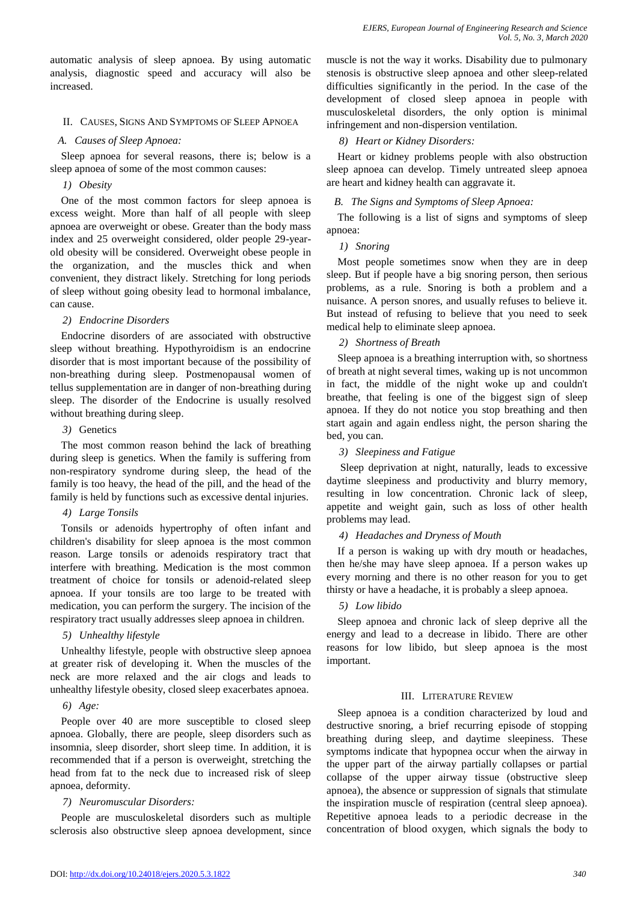automatic analysis of sleep apnoea. By using automatic analysis, diagnostic speed and accuracy will also be increased.

# II. CAUSES, SIGNS AND SYMPTOMS OF SLEEP APNOEA

#### *A. Causes of Sleep Apnoea:*

Sleep apnoea for several reasons, there is; below is a sleep apnoea of some of the most common causes:

*1) Obesity*

One of the most common factors for sleep apnoea is excess weight. More than half of all people with sleep apnoea are overweight or obese. Greater than the body mass index and 25 overweight considered, older people 29-yearold obesity will be considered. Overweight obese people in the organization, and the muscles thick and when convenient, they distract likely. Stretching for long periods of sleep without going obesity lead to hormonal imbalance, can cause.

# *2) Endocrine Disorders*

Endocrine disorders of are associated with obstructive sleep without breathing. Hypothyroidism is an endocrine disorder that is most important because of the possibility of non-breathing during sleep. Postmenopausal women of tellus supplementation are in danger of non-breathing during sleep. The disorder of the Endocrine is usually resolved without breathing during sleep.

## *3)* Genetics

The most common reason behind the lack of breathing during sleep is genetics. When the family is suffering from non-respiratory syndrome during sleep, the head of the family is too heavy, the head of the pill, and the head of the family is held by functions such as excessive dental injuries.

## *4) Large Tonsils*

Tonsils or adenoids hypertrophy of often infant and children's disability for sleep apnoea is the most common reason. Large tonsils or adenoids respiratory tract that interfere with breathing. Medication is the most common treatment of choice for tonsils or adenoid-related sleep apnoea. If your tonsils are too large to be treated with medication, you can perform the surgery. The incision of the respiratory tract usually addresses sleep apnoea in children.

## *5) Unhealthy lifestyle*

Unhealthy lifestyle, people with obstructive sleep apnoea at greater risk of developing it. When the muscles of the neck are more relaxed and the air clogs and leads to unhealthy lifestyle obesity, closed sleep exacerbates apnoea.

## *6) Age:*

People over 40 are more susceptible to closed sleep apnoea. Globally, there are people, sleep disorders such as insomnia, sleep disorder, short sleep time. In addition, it is recommended that if a person is overweight, stretching the head from fat to the neck due to increased risk of sleep apnoea, deformity.

# *7) Neuromuscular Disorders:*

People are musculoskeletal disorders such as multiple sclerosis also obstructive sleep apnoea development, since

muscle is not the way it works. Disability due to pulmonary stenosis is obstructive sleep apnoea and other sleep-related difficulties significantly in the period. In the case of the development of closed sleep apnoea in people with musculoskeletal disorders, the only option is minimal infringement and non-dispersion ventilation.

# *8) Heart or Kidney Disorders:*

Heart or kidney problems people with also obstruction sleep apnoea can develop. Timely untreated sleep apnoea are heart and kidney health can aggravate it.

# *B. The Signs and Symptoms of Sleep Apnoea:*

The following is a list of signs and symptoms of sleep apnoea:

# *1) Snoring*

Most people sometimes snow when they are in deep sleep. But if people have a big snoring person, then serious problems, as a rule. Snoring is both a problem and a nuisance. A person snores, and usually refuses to believe it. But instead of refusing to believe that you need to seek medical help to eliminate sleep apnoea.

# *2) Shortness of Breath*

Sleep apnoea is a breathing interruption with, so shortness of breath at night several times, waking up is not uncommon in fact, the middle of the night woke up and couldn't breathe, that feeling is one of the biggest sign of sleep apnoea. If they do not notice you stop breathing and then start again and again endless night, the person sharing the bed, you can.

# *3) Sleepiness and Fatigue*

Sleep deprivation at night, naturally, leads to excessive daytime sleepiness and productivity and blurry memory, resulting in low concentration. Chronic lack of sleep, appetite and weight gain, such as loss of other health problems may lead.

# *4) Headaches and Dryness of Mouth*

If a person is waking up with dry mouth or headaches, then he/she may have sleep apnoea. If a person wakes up every morning and there is no other reason for you to get thirsty or have a headache, it is probably a sleep apnoea.

## *5) Low libido*

Sleep apnoea and chronic lack of sleep deprive all the energy and lead to a decrease in libido. There are other reasons for low libido, but sleep apnoea is the most important.

## III. LITERATURE REVIEW

Sleep apnoea is a condition characterized by loud and destructive snoring, a brief recurring episode of stopping breathing during sleep, and daytime sleepiness. These symptoms indicate that hypopnea occur when the airway in the upper part of the airway partially collapses or partial collapse of the upper airway tissue (obstructive sleep apnoea), the absence or suppression of signals that stimulate the inspiration muscle of respiration (central sleep apnoea). Repetitive apnoea leads to a periodic decrease in the concentration of blood oxygen, which signals the body to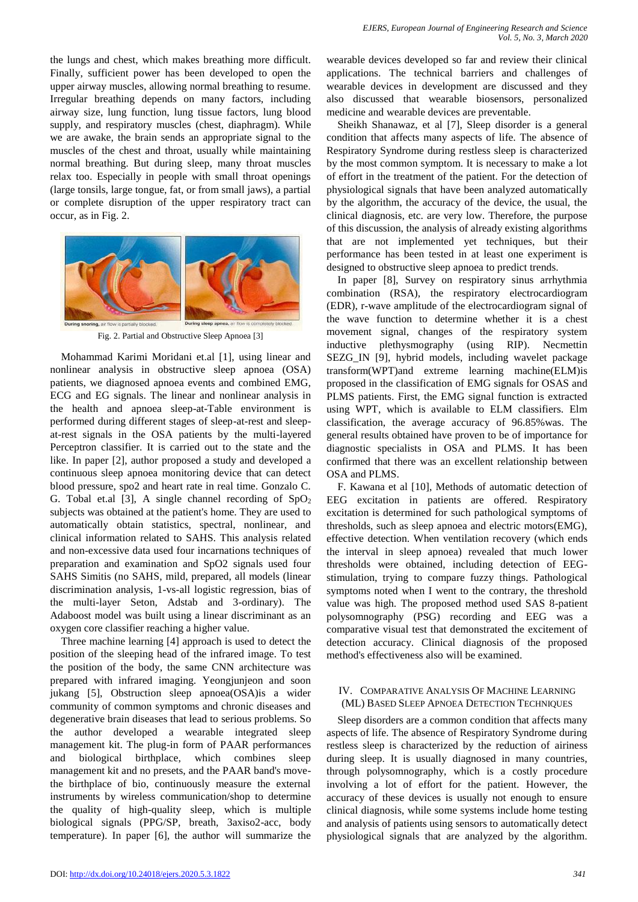the lungs and chest, which makes breathing more difficult. Finally, sufficient power has been developed to open the upper airway muscles, allowing normal breathing to resume. Irregular breathing depends on many factors, including airway size, lung function, lung tissue factors, lung blood supply, and respiratory muscles (chest, diaphragm). While we are awake, the brain sends an appropriate signal to the muscles of the chest and throat, usually while maintaining normal breathing. But during sleep, many throat muscles relax too. Especially in people with small throat openings (large tonsils, large tongue, fat, or from small jaws), a partial or complete disruption of the upper respiratory tract can occur, as in Fig. 2.



Fig. 2. Partial and Obstructive Sleep Apnoea [3]

Mohammad Karimi Moridani et.al [1], using linear and nonlinear analysis in obstructive sleep apnoea (OSA) patients, we diagnosed apnoea events and combined EMG, ECG and EG signals. The linear and nonlinear analysis in the health and apnoea sleep-at-Table environment is performed during different stages of sleep-at-rest and sleepat-rest signals in the OSA patients by the multi-layered Perceptron classifier. It is carried out to the state and the like. In paper [2], author proposed a study and developed a continuous sleep apnoea monitoring device that can detect blood pressure, spo2 and heart rate in real time. Gonzalo C. G. Tobal et.al [3], A single channel recording of  $SpO<sub>2</sub>$ subjects was obtained at the patient's home. They are used to automatically obtain statistics, spectral, nonlinear, and clinical information related to SAHS. This analysis related and non-excessive data used four incarnations techniques of preparation and examination and SpO2 signals used four SAHS Simitis (no SAHS, mild, prepared, all models (linear discrimination analysis, 1-vs-all logistic regression, bias of the multi-layer Seton, Adstab and 3-ordinary). The Adaboost model was built using a linear discriminant as an oxygen core classifier reaching a higher value.

Three machine learning [4] approach is used to detect the position of the sleeping head of the infrared image. To test the position of the body, the same CNN architecture was prepared with infrared imaging. Yeongjunjeon and soon jukang [5], Obstruction sleep apnoea(OSA)is a wider community of common symptoms and chronic diseases and degenerative brain diseases that lead to serious problems. So the author developed a wearable integrated sleep management kit. The plug-in form of PAAR performances and biological birthplace, which combines sleep management kit and no presets, and the PAAR band's movethe birthplace of bio, continuously measure the external instruments by wireless communication/shop to determine the quality of high-quality sleep, which is multiple biological signals (PPG/SP, breath, 3axiso2-acc, body temperature). In paper [6], the author will summarize the

wearable devices developed so far and review their clinical applications. The technical barriers and challenges of wearable devices in development are discussed and they also discussed that wearable biosensors, personalized medicine and wearable devices are preventable.

Sheikh Shanawaz, et al [7], Sleep disorder is a general condition that affects many aspects of life. The absence of Respiratory Syndrome during restless sleep is characterized by the most common symptom. It is necessary to make a lot of effort in the treatment of the patient. For the detection of physiological signals that have been analyzed automatically by the algorithm, the accuracy of the device, the usual, the clinical diagnosis, etc. are very low. Therefore, the purpose of this discussion, the analysis of already existing algorithms that are not implemented yet techniques, but their performance has been tested in at least one experiment is designed to obstructive sleep apnoea to predict trends.

In paper [8], Survey on respiratory sinus arrhythmia combination (RSA), the respiratory electrocardiogram (EDR), r-wave amplitude of the electrocardiogram signal of the wave function to determine whether it is a chest movement signal, changes of the respiratory system inductive plethysmography (using RIP). Necmettin SEZG\_IN [9], hybrid models, including wavelet package transform(WPT)and extreme learning machine(ELM)is proposed in the classification of EMG signals for OSAS and PLMS patients. First, the EMG signal function is extracted using WPT, which is available to ELM classifiers. Elm classification, the average accuracy of 96.85%was. The general results obtained have proven to be of importance for diagnostic specialists in OSA and PLMS. It has been confirmed that there was an excellent relationship between OSA and PLMS.

F. Kawana et al [10], Methods of automatic detection of EEG excitation in patients are offered. Respiratory excitation is determined for such pathological symptoms of thresholds, such as sleep apnoea and electric motors(EMG), effective detection. When ventilation recovery (which ends the interval in sleep apnoea) revealed that much lower thresholds were obtained, including detection of EEGstimulation, trying to compare fuzzy things. Pathological symptoms noted when I went to the contrary, the threshold value was high. The proposed method used SAS 8-patient polysomnography (PSG) recording and EEG was a comparative visual test that demonstrated the excitement of detection accuracy. Clinical diagnosis of the proposed method's effectiveness also will be examined.

#### IV. COMPARATIVE ANALYSIS OF MACHINE LEARNING (ML) BASED SLEEP APNOEA DETECTION TECHNIQUES

Sleep disorders are a common condition that affects many aspects of life. The absence of Respiratory Syndrome during restless sleep is characterized by the reduction of airiness during sleep. It is usually diagnosed in many countries, through polysomnography, which is a costly procedure involving a lot of effort for the patient. However, the accuracy of these devices is usually not enough to ensure clinical diagnosis, while some systems include home testing and analysis of patients using sensors to automatically detect physiological signals that are analyzed by the algorithm.